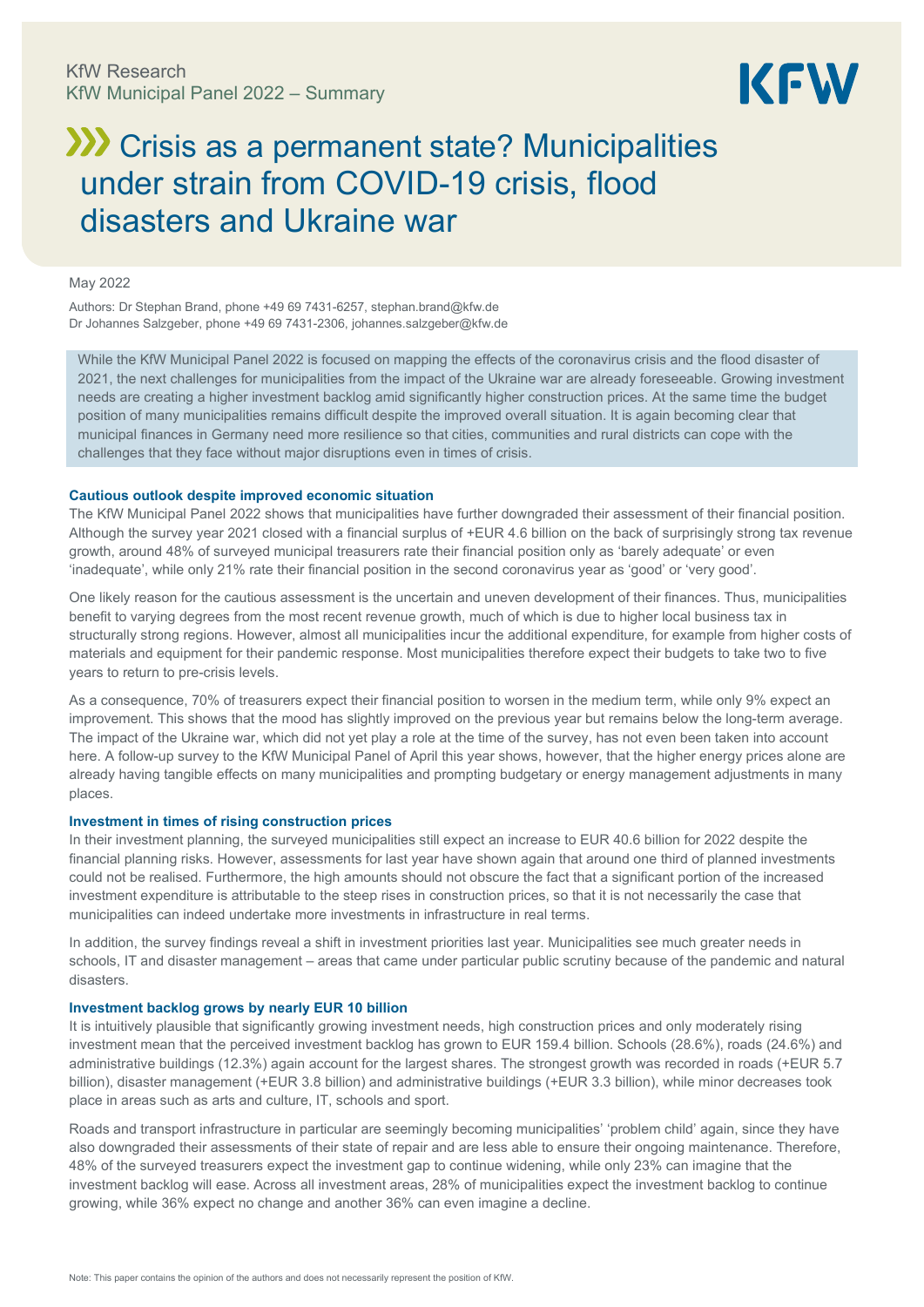

# **XXX** Crisis as a permanent state? Municipalities under strain from COVID-19 crisis, flood disasters and Ukraine war

### May 2022

Authors: Dr Stephan Brand, phone +49 69 7431-6257, [stephan.brand@kfw.de](mailto:stephan.brand@kfw.de) Dr Johannes Salzgeber, phone +49 69 7431-2306[, johannes.salzgeber@kfw.de](mailto:johannes.salzgeber@kfw.de)

While the KfW Municipal Panel 2022 is focused on mapping the effects of the coronavirus crisis and the flood disaster of 2021, the next challenges for municipalities from the impact of the Ukraine war are already foreseeable. Growing investment needs are creating a higher investment backlog amid significantly higher construction prices. At the same time the budget position of many municipalities remains difficult despite the improved overall situation. It is again becoming clear that municipal finances in Germany need more resilience so that cities, communities and rural districts can cope with the challenges that they face without major disruptions even in times of crisis.

### **Cautious outlook despite improved economic situation**

The KfW Municipal Panel 2022 shows that municipalities have further downgraded their assessment of their financial position. Although the survey year 2021 closed with a financial surplus of +EUR 4.6 billion on the back of surprisingly strong tax revenue growth, around 48% of surveyed municipal treasurers rate their financial position only as 'barely adequate' or even 'inadequate', while only 21% rate their financial position in the second coronavirus year as 'good' or 'very good'.

One likely reason for the cautious assessment is the uncertain and uneven development of their finances. Thus, municipalities benefit to varying degrees from the most recent revenue growth, much of which is due to higher local business tax in structurally strong regions. However, almost all municipalities incur the additional expenditure, for example from higher costs of materials and equipment for their pandemic response. Most municipalities therefore expect their budgets to take two to five years to return to pre-crisis levels.

As a consequence, 70% of treasurers expect their financial position to worsen in the medium term, while only 9% expect an improvement. This shows that the mood has slightly improved on the previous year but remains below the long-term average. The impact of the Ukraine war, which did not yet play a role at the time of the survey, has not even been taken into account here. A follow-up survey to the KfW Municipal Panel of April this year shows, however, that the higher energy prices alone are already having tangible effects on many municipalities and prompting budgetary or energy management adjustments in many places.

### **Investment in times of rising construction prices**

In their investment planning, the surveyed municipalities still expect an increase to EUR 40.6 billion for 2022 despite the financial planning risks. However, assessments for last year have shown again that around one third of planned investments could not be realised. Furthermore, the high amounts should not obscure the fact that a significant portion of the increased investment expenditure is attributable to the steep rises in construction prices, so that it is not necessarily the case that municipalities can indeed undertake more investments in infrastructure in real terms.

In addition, the survey findings reveal a shift in investment priorities last year. Municipalities see much greater needs in schools, IT and disaster management – areas that came under particular public scrutiny because of the pandemic and natural disasters.

### **Investment backlog grows by nearly EUR 10 billion**

It is intuitively plausible that significantly growing investment needs, high construction prices and only moderately rising investment mean that the perceived investment backlog has grown to EUR 159.4 billion. Schools (28.6%), roads (24.6%) and administrative buildings (12.3%) again account for the largest shares. The strongest growth was recorded in roads (+EUR 5.7 billion), disaster management (+EUR 3.8 billion) and administrative buildings (+EUR 3.3 billion), while minor decreases took place in areas such as arts and culture, IT, schools and sport.

Roads and transport infrastructure in particular are seemingly becoming municipalities' 'problem child' again, since they have also downgraded their assessments of their state of repair and are less able to ensure their ongoing maintenance. Therefore, 48% of the surveyed treasurers expect the investment gap to continue widening, while only 23% can imagine that the investment backlog will ease. Across all investment areas, 28% of municipalities expect the investment backlog to continue growing, while 36% expect no change and another 36% can even imagine a decline.